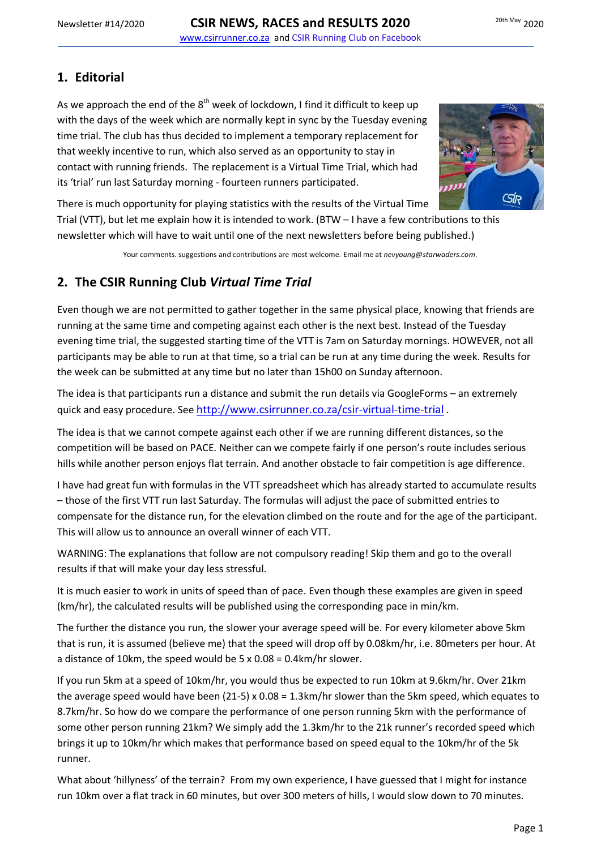## **1. Editorial**

As we approach the end of the  $8<sup>th</sup>$  week of lockdown, I find it difficult to keep up with the days of the week which are normally kept in sync by the Tuesday evening time trial. The club has thus decided to implement a temporary replacement for that weekly incentive to run, which also served as an opportunity to stay in contact with running friends. The replacement is a Virtual Time Trial, which had its 'trial' run last Saturday morning - fourteen runners participated.



There is much opportunity for playing statistics with the results of the Virtual Time

Trial (VTT), but let me explain how it is intended to work. (BTW – I have a few contributions to this newsletter which will have to wait until one of the next newsletters before being published.)

Your comments. suggestions and contributions are most welcome. Email me at *nevyoung@starwaders.com*.

## **2. The CSIR Running Club** *Virtual Time Trial*

Even though we are not permitted to gather together in the same physical place, knowing that friends are running at the same time and competing against each other is the next best. Instead of the Tuesday evening time trial, the suggested starting time of the VTT is 7am on Saturday mornings. HOWEVER, not all participants may be able to run at that time, so a trial can be run at any time during the week. Results for the week can be submitted at any time but no later than 15h00 on Sunday afternoon.

The idea is that participants run a distance and submit the run details via GoogleForms – an extremely quick and easy procedure. See [http://www.csirrunner.co.za/csir-virtual-time-trial](http://www.csirrunner.co.za/csir-virtual-time-trial/) .

The idea is that we cannot compete against each other if we are running different distances, so the competition will be based on PACE. Neither can we compete fairly if one person's route includes serious hills while another person enjoys flat terrain. And another obstacle to fair competition is age difference.

I have had great fun with formulas in the VTT spreadsheet which has already started to accumulate results – those of the first VTT run last Saturday. The formulas will adjust the pace of submitted entries to compensate for the distance run, for the elevation climbed on the route and for the age of the participant. This will allow us to announce an overall winner of each VTT.

WARNING: The explanations that follow are not compulsory reading! Skip them and go to the overall results if that will make your day less stressful.

It is much easier to work in units of speed than of pace. Even though these examples are given in speed (km/hr), the calculated results will be published using the corresponding pace in min/km.

The further the distance you run, the slower your average speed will be. For every kilometer above 5km that is run, it is assumed (believe me) that the speed will drop off by 0.08km/hr, i.e. 80meters per hour. At a distance of 10km, the speed would be 5 x 0.08 = 0.4km/hr slower.

If you run 5km at a speed of 10km/hr, you would thus be expected to run 10km at 9.6km/hr. Over 21km the average speed would have been (21-5) x 0.08 = 1.3km/hr slower than the 5km speed, which equates to 8.7km/hr. So how do we compare the performance of one person running 5km with the performance of some other person running 21km? We simply add the 1.3km/hr to the 21k runner's recorded speed which brings it up to 10km/hr which makes that performance based on speed equal to the 10km/hr of the 5k runner.

What about 'hillyness' of the terrain? From my own experience, I have guessed that I might for instance run 10km over a flat track in 60 minutes, but over 300 meters of hills, I would slow down to 70 minutes.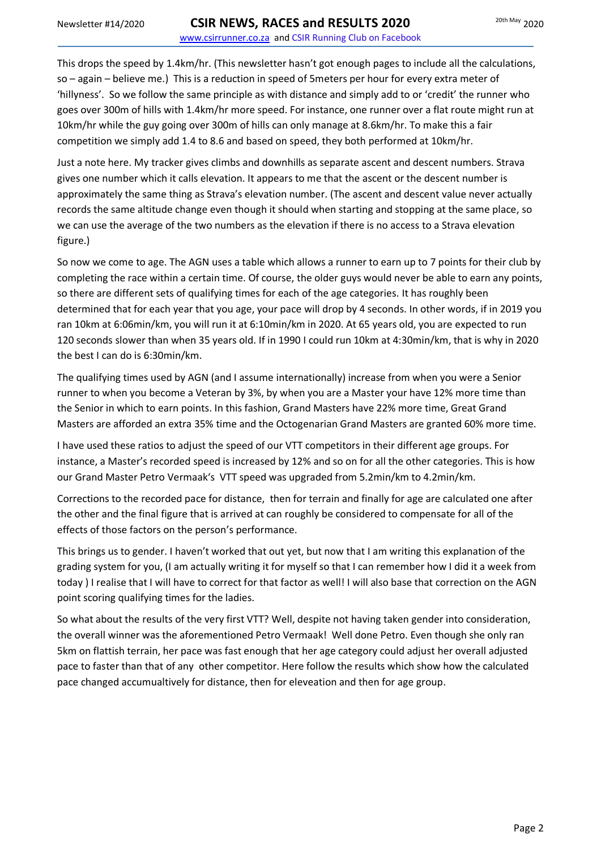This drops the speed by 1.4km/hr. (This newsletter hasn't got enough pages to include all the calculations, so – again – believe me.) This is a reduction in speed of 5meters per hour for every extra meter of 'hillyness'. So we follow the same principle as with distance and simply add to or 'credit' the runner who goes over 300m of hills with 1.4km/hr more speed. For instance, one runner over a flat route might run at 10km/hr while the guy going over 300m of hills can only manage at 8.6km/hr. To make this a fair competition we simply add 1.4 to 8.6 and based on speed, they both performed at 10km/hr.

Just a note here. My tracker gives climbs and downhills as separate ascent and descent numbers. Strava gives one number which it calls elevation. It appears to me that the ascent or the descent number is approximately the same thing as Strava's elevation number. (The ascent and descent value never actually records the same altitude change even though it should when starting and stopping at the same place, so we can use the average of the two numbers as the elevation if there is no access to a Strava elevation figure.)

So now we come to age. The AGN uses a table which allows a runner to earn up to 7 points for their club by completing the race within a certain time. Of course, the older guys would never be able to earn any points, so there are different sets of qualifying times for each of the age categories. It has roughly been determined that for each year that you age, your pace will drop by 4 seconds. In other words, if in 2019 you ran 10km at 6:06min/km, you will run it at 6:10min/km in 2020. At 65 years old, you are expected to run 120 seconds slower than when 35 years old. If in 1990 I could run 10km at 4:30min/km, that is why in 2020 the best I can do is 6:30min/km.

The qualifying times used by AGN (and I assume internationally) increase from when you were a Senior runner to when you become a Veteran by 3%, by when you are a Master your have 12% more time than the Senior in which to earn points. In this fashion, Grand Masters have 22% more time, Great Grand Masters are afforded an extra 35% time and the Octogenarian Grand Masters are granted 60% more time.

I have used these ratios to adjust the speed of our VTT competitors in their different age groups. For instance, a Master's recorded speed is increased by 12% and so on for all the other categories. This is how our Grand Master Petro Vermaak's VTT speed was upgraded from 5.2min/km to 4.2min/km.

Corrections to the recorded pace for distance, then for terrain and finally for age are calculated one after the other and the final figure that is arrived at can roughly be considered to compensate for all of the effects of those factors on the person's performance.

This brings us to gender. I haven't worked that out yet, but now that I am writing this explanation of the grading system for you, (I am actually writing it for myself so that I can remember how I did it a week from today ) I realise that I will have to correct for that factor as well! I will also base that correction on the AGN point scoring qualifying times for the ladies.

So what about the results of the very first VTT? Well, despite not having taken gender into consideration, the overall winner was the aforementioned Petro Vermaak! Well done Petro. Even though she only ran 5km on flattish terrain, her pace was fast enough that her age category could adjust her overall adjusted pace to faster than that of any other competitor. Here follow the results which show how the calculated pace changed accumualtively for distance, then for eleveation and then for age group.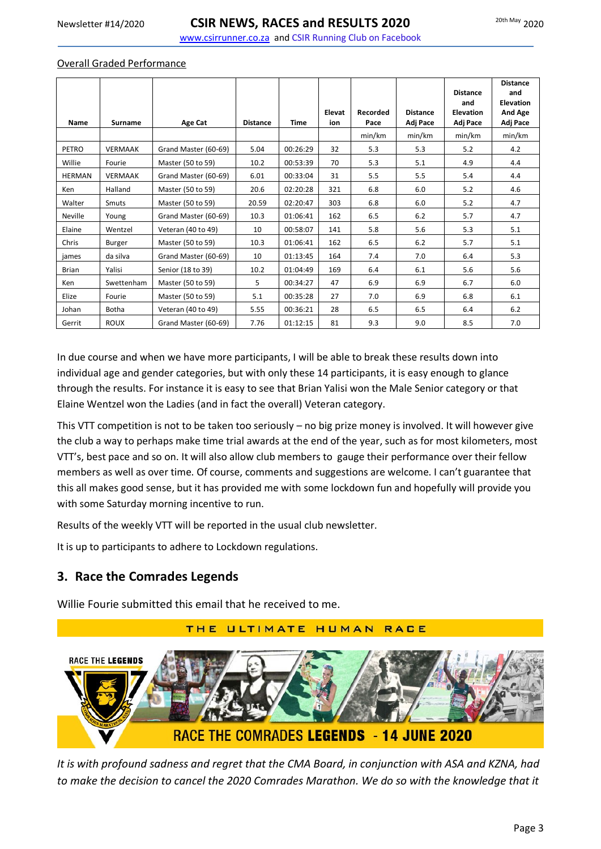www.csirrunner.co.za and CSIR Running Club on Facebook

#### Overall Graded Performance

|                |                |                      |                 |             | Elevat | Recorded | <b>Distance</b> | <b>Distance</b><br>and<br><b>Elevation</b> | <b>Distance</b><br>and<br><b>Elevation</b><br>And Age |
|----------------|----------------|----------------------|-----------------|-------------|--------|----------|-----------------|--------------------------------------------|-------------------------------------------------------|
| Name           | <b>Surname</b> | Age Cat              | <b>Distance</b> | <b>Time</b> | ion    | Pace     | Adj Pace        | Adj Pace                                   | Adj Pace                                              |
|                |                |                      |                 |             |        | min/km   | min/km          | min/km                                     | min/km                                                |
| PETRO          | <b>VERMAAK</b> | Grand Master (60-69) | 5.04            | 00:26:29    | 32     | 5.3      | 5.3             | 5.2                                        | 4.2                                                   |
| Willie         | Fourie         | Master (50 to 59)    | 10.2            | 00:53:39    | 70     | 5.3      | 5.1             | 4.9                                        | 4.4                                                   |
| <b>HERMAN</b>  | <b>VERMAAK</b> | Grand Master (60-69) | 6.01            | 00:33:04    | 31     | 5.5      | 5.5             | 5.4                                        | 4.4                                                   |
| Ken            | Halland        | Master (50 to 59)    | 20.6            | 02:20:28    | 321    | 6.8      | 6.0             | 5.2                                        | 4.6                                                   |
| Walter         | Smuts          | Master (50 to 59)    | 20.59           | 02:20:47    | 303    | 6.8      | 6.0             | 5.2                                        | 4.7                                                   |
| <b>Neville</b> | Young          | Grand Master (60-69) | 10.3            | 01:06:41    | 162    | 6.5      | 6.2             | 5.7                                        | 4.7                                                   |
| Elaine         | Wentzel        | Veteran (40 to 49)   | 10              | 00:58:07    | 141    | 5.8      | 5.6             | 5.3                                        | 5.1                                                   |
| Chris          | Burger         | Master (50 to 59)    | 10.3            | 01:06:41    | 162    | 6.5      | 6.2             | 5.7                                        | 5.1                                                   |
| james          | da silva       | Grand Master (60-69) | 10              | 01:13:45    | 164    | 7.4      | 7.0             | 6.4                                        | 5.3                                                   |
| <b>Brian</b>   | Yalisi         | Senior (18 to 39)    | 10.2            | 01:04:49    | 169    | 6.4      | 6.1             | 5.6                                        | 5.6                                                   |
| Ken            | Swettenham     | Master (50 to 59)    | 5               | 00:34:27    | 47     | 6.9      | 6.9             | 6.7                                        | 6.0                                                   |
| Elize          | Fourie         | Master (50 to 59)    | 5.1             | 00:35:28    | 27     | 7.0      | 6.9             | 6.8                                        | 6.1                                                   |
| Johan          | <b>Botha</b>   | Veteran (40 to 49)   | 5.55            | 00:36:21    | 28     | 6.5      | 6.5             | 6.4                                        | 6.2                                                   |
| Gerrit         | <b>ROUX</b>    | Grand Master (60-69) | 7.76            | 01:12:15    | 81     | 9.3      | 9.0             | 8.5                                        | 7.0                                                   |

In due course and when we have more participants, I will be able to break these results down into individual age and gender categories, but with only these 14 participants, it is easy enough to glance through the results. For instance it is easy to see that Brian Yalisi won the Male Senior category or that Elaine Wentzel won the Ladies (and in fact the overall) Veteran category.

This VTT competition is not to be taken too seriously – no big prize money is involved. It will however give the club a way to perhaps make time trial awards at the end of the year, such as for most kilometers, most VTT's, best pace and so on. It will also allow club members to gauge their performance over their fellow members as well as over time. Of course, comments and suggestions are welcome. I can't guarantee that this all makes good sense, but it has provided me with some lockdown fun and hopefully will provide you with some Saturday morning incentive to run.

Results of the weekly VTT will be reported in the usual club newsletter.

It is up to participants to adhere to Lockdown regulations.

### **3. Race the Comrades Legends**

Willie Fourie submitted this email that he received to me.

# THE ULTIMATE HUMAN **RACE RACE THE LEGENDS** RACE THE COMRADES LEGENDS - 14 JUNE 2020

*It is with profound sadness and regret that the CMA Board, in conjunction with ASA and KZNA, had*  to make the decision to cancel the 2020 Comrades Marathon. We do so with the knowledge that it